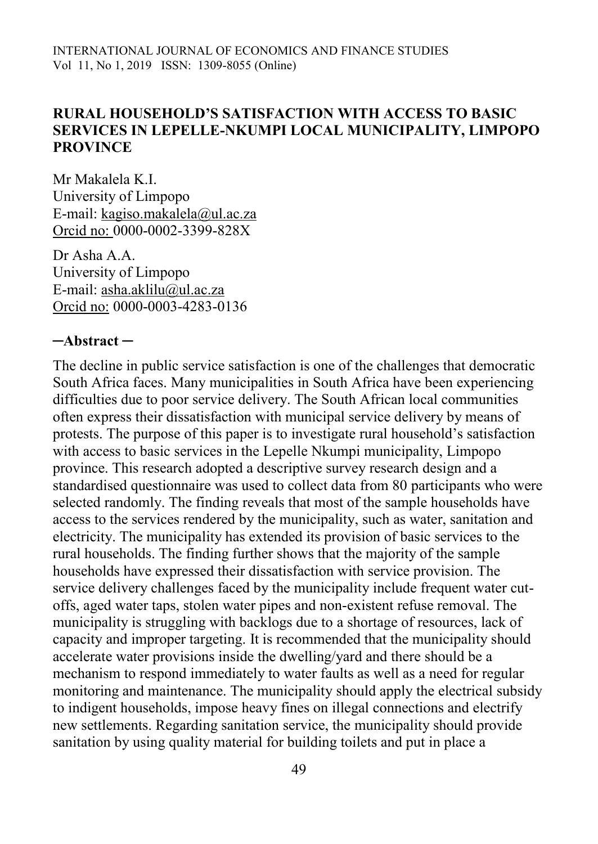#### **RURAL HOUSEHOLD'S SATISFACTION WITH ACCESS TO BASIC SERVICES IN LEPELLE-NKUMPI LOCAL MUNICIPALITY, LIMPOPO PROVINCE**

Mr Makalela K.I. University of Limpopo E-mail: [kagiso.makalela@ul.ac.za](mailto:kagiso.makalela@ul.ac.za) Orcid no: 0000-0002-3399-828X

Dr Asha A.A. University of Limpopo E-mail: [asha.aklilu@ul.ac.za](mailto:asha.aklilu@ul.ac.za) Orcid no: 0000-0003-4283-0136

#### **─Abstract ─**

The decline in public service satisfaction is one of the challenges that democratic South Africa faces. Many municipalities in South Africa have been experiencing difficulties due to poor service delivery. The South African local communities often express their dissatisfaction with municipal service delivery by means of protests. The purpose of this paper is to investigate rural household's satisfaction with access to basic services in the Lepelle Nkumpi municipality, Limpopo province. This research adopted a descriptive survey research design and a standardised questionnaire was used to collect data from 80 participants who were selected randomly. The finding reveals that most of the sample households have access to the services rendered by the municipality, such as water, sanitation and electricity. The municipality has extended its provision of basic services to the rural households. The finding further shows that the majority of the sample households have expressed their dissatisfaction with service provision. The service delivery challenges faced by the municipality include frequent water cutoffs, aged water taps, stolen water pipes and non-existent refuse removal. The municipality is struggling with backlogs due to a shortage of resources, lack of capacity and improper targeting. It is recommended that the municipality should accelerate water provisions inside the dwelling/yard and there should be a mechanism to respond immediately to water faults as well as a need for regular monitoring and maintenance. The municipality should apply the electrical subsidy to indigent households, impose heavy fines on illegal connections and electrify new settlements. Regarding sanitation service, the municipality should provide sanitation by using quality material for building toilets and put in place a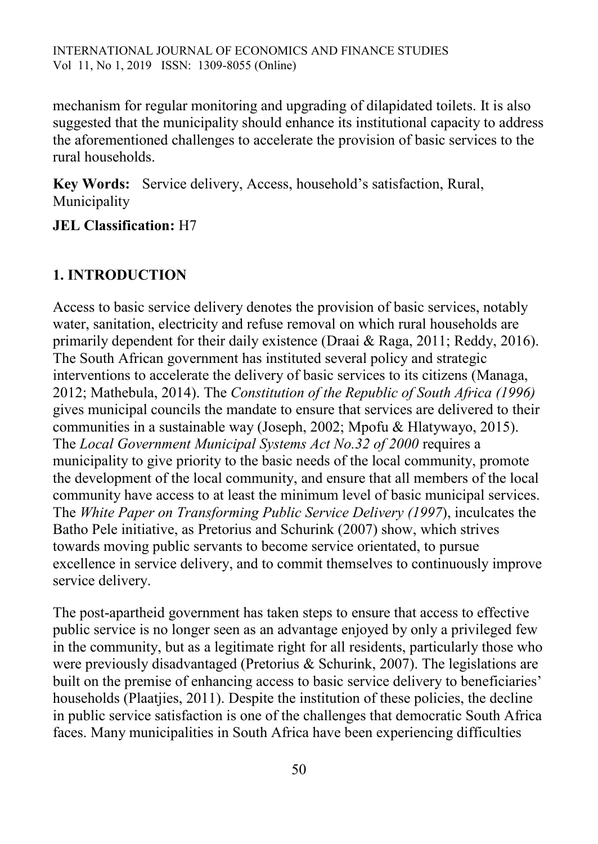mechanism for regular monitoring and upgrading of dilapidated toilets. It is also suggested that the municipality should enhance its institutional capacity to address the aforementioned challenges to accelerate the provision of basic services to the rural households.

**Key Words:** Service delivery, Access, household's satisfaction, Rural, Municipality

**JEL Classification:** H7

### **1. INTRODUCTION**

Access to basic service delivery denotes the provision of basic services, notably water, sanitation, electricity and refuse removal on which rural households are primarily dependent for their daily existence (Draai & Raga, 2011; Reddy, 2016). The South African government has instituted several policy and strategic interventions to accelerate the delivery of basic services to its citizens (Managa, 2012; Mathebula, 2014). The *Constitution of the Republic of South Africa (1996)* gives municipal councils the mandate to ensure that services are delivered to their communities in a sustainable way (Joseph, 2002; Mpofu & Hlatywayo, 2015). The *Local Government Municipal Systems Act No.32 of 2000* requires a municipality to give priority to the basic needs of the local community, promote the development of the local community, and ensure that all members of the local community have access to at least the minimum level of basic municipal services. The *White Paper on Transforming Public Service Delivery (1997*), inculcates the Batho Pele initiative, as Pretorius and Schurink (2007) show, which strives towards moving public servants to become service orientated, to pursue excellence in service delivery, and to commit themselves to continuously improve service delivery.

The post-apartheid government has taken steps to ensure that access to effective public service is no longer seen as an advantage enjoyed by only a privileged few in the community, but as a legitimate right for all residents, particularly those who were previously disadvantaged (Pretorius & Schurink, 2007). The legislations are built on the premise of enhancing access to basic service delivery to beneficiaries' households (Plaatjies, 2011). Despite the institution of these policies, the decline in public service satisfaction is one of the challenges that democratic South Africa faces. Many municipalities in South Africa have been experiencing difficulties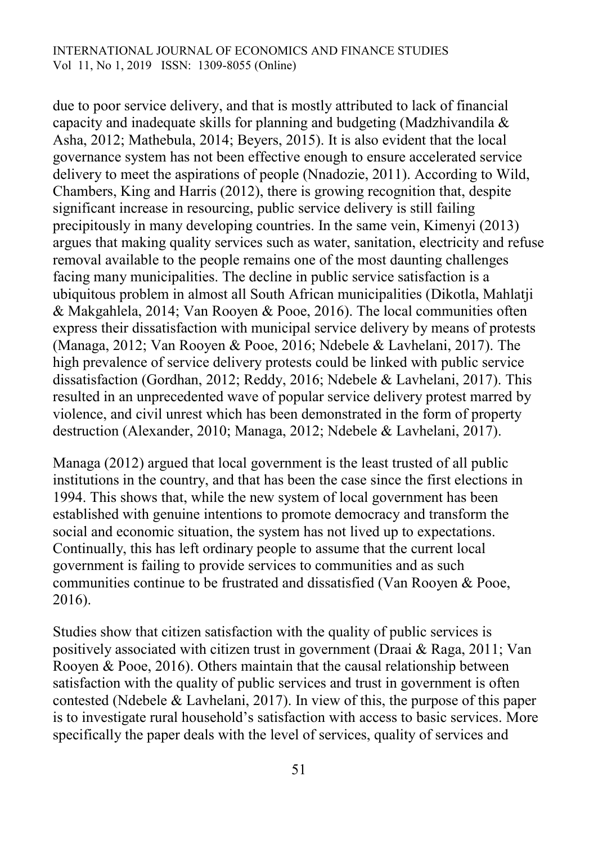due to poor service delivery, and that is mostly attributed to lack of financial capacity and inadequate skills for planning and budgeting (Madzhivandila & Asha, 2012; Mathebula, 2014; Beyers, 2015). It is also evident that the local governance system has not been effective enough to ensure accelerated service delivery to meet the aspirations of people (Nnadozie, 2011). According to Wild, Chambers, King and Harris (2012), there is growing recognition that, despite significant increase in resourcing, public service delivery is still failing precipitously in many developing countries. In the same vein, Kimenyi (2013) argues that making quality services such as water, sanitation, electricity and refuse removal available to the people remains one of the most daunting challenges facing many municipalities. The decline in public service satisfaction is a ubiquitous problem in almost all South African municipalities (Dikotla, Mahlatji & Makgahlela, 2014; Van Rooyen & Pooe, 2016). The local communities often express their dissatisfaction with municipal service delivery by means of protests (Managa, 2012; Van Rooyen & Pooe, 2016; Ndebele & Lavhelani, 2017). The high prevalence of service delivery protests could be linked with public service dissatisfaction (Gordhan, 2012; Reddy, 2016; Ndebele & Lavhelani, 2017). This resulted in an unprecedented wave of popular service delivery protest marred by violence, and civil unrest which has been demonstrated in the form of property destruction (Alexander, 2010; Managa, 2012; Ndebele & Lavhelani, 2017).

Managa (2012) argued that local government is the least trusted of all public institutions in the country, and that has been the case since the first elections in 1994. This shows that, while the new system of local government has been established with genuine intentions to promote democracy and transform the social and economic situation, the system has not lived up to expectations. Continually, this has left ordinary people to assume that the current local government is failing to provide services to communities and as such communities continue to be frustrated and dissatisfied (Van Rooyen & Pooe, 2016).

Studies show that citizen satisfaction with the quality of public services is positively associated with citizen trust in government (Draai & Raga, 2011; Van Rooyen & Pooe, 2016). Others maintain that the causal relationship between satisfaction with the quality of public services and trust in government is often contested (Ndebele & Lavhelani, 2017). In view of this, the purpose of this paper is to investigate rural household's satisfaction with access to basic services. More specifically the paper deals with the level of services, quality of services and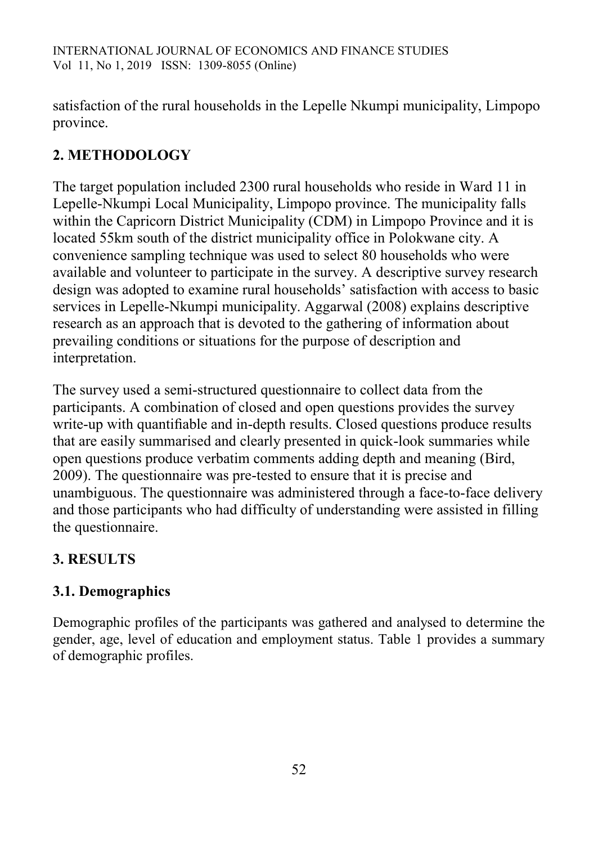satisfaction of the rural households in the Lepelle Nkumpi municipality, Limpopo province.

# **2. METHODOLOGY**

The target population included 2300 rural households who reside in Ward 11 in Lepelle-Nkumpi Local Municipality, Limpopo province. The municipality falls within the Capricorn District Municipality (CDM) in Limpopo Province and it is located 55km south of the district municipality office in Polokwane city. A convenience sampling technique was used to select 80 households who were available and volunteer to participate in the survey. A descriptive survey research design was adopted to examine rural households' satisfaction with access to basic services in Lepelle-Nkumpi municipality. Aggarwal (2008) explains descriptive research as an approach that is devoted to the gathering of information about prevailing conditions or situations for the purpose of description and interpretation.

The survey used a semi-structured questionnaire to collect data from the participants. A combination of closed and open questions provides the survey write-up with quantifiable and in-depth results. Closed questions produce results that are easily summarised and clearly presented in quick-look summaries while open questions produce verbatim comments adding depth and meaning (Bird, 2009). The questionnaire was pre-tested to ensure that it is precise and unambiguous. The questionnaire was administered through a face-to-face delivery and those participants who had difficulty of understanding were assisted in filling the questionnaire.

# **3. RESULTS**

# **3.1. Demographics**

Demographic profiles of the participants was gathered and analysed to determine the gender, age, level of education and employment status. Table 1 provides a summary of demographic profiles.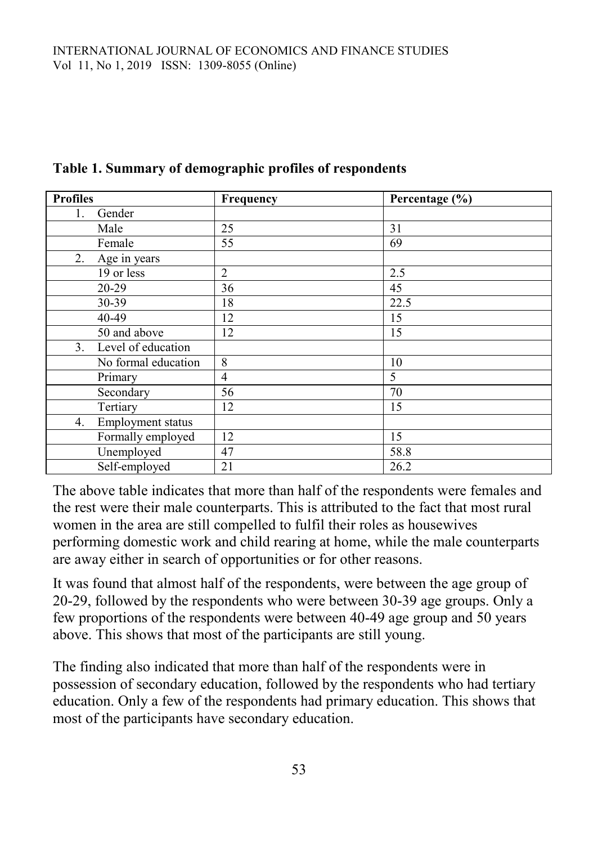| <b>Profiles</b>         | Frequency | Percentage (%) |
|-------------------------|-----------|----------------|
| Gender<br>1.            |           |                |
| Male                    | 25        | 31             |
| Female                  | 55        | 69             |
| 2. Age in years         |           |                |
| 19 or less              | 2         | 2.5            |
| 20-29                   | 36        | 45             |
| 30-39                   | 18        | 22.5           |
| 40-49                   | 12        | 15             |
| 50 and above            | 12        | 15             |
| 3. Level of education   |           |                |
| No formal education     | 8         | 10             |
| Primary                 | 4         | 5              |
| Secondary               | 56        | 70             |
| Tertiary                | 12        | 15             |
| 4.<br>Employment status |           |                |
| Formally employed       | 12        | 15             |
| Unemployed              | 47        | 58.8           |
| Self-employed           | 21        | 26.2           |

#### **Table 1. Summary of demographic profiles of respondents**

The above table indicates that more than half of the respondents were females and the rest were their male counterparts. This is attributed to the fact that most rural women in the area are still compelled to fulfil their roles as housewives performing domestic work and child rearing at home, while the male counterparts are away either in search of opportunities or for other reasons.

It was found that almost half of the respondents, were between the age group of 20-29, followed by the respondents who were between 30-39 age groups. Only a few proportions of the respondents were between 40-49 age group and 50 years above. This shows that most of the participants are still young.

The finding also indicated that more than half of the respondents were in possession of secondary education, followed by the respondents who had tertiary education. Only a few of the respondents had primary education. This shows that most of the participants have secondary education.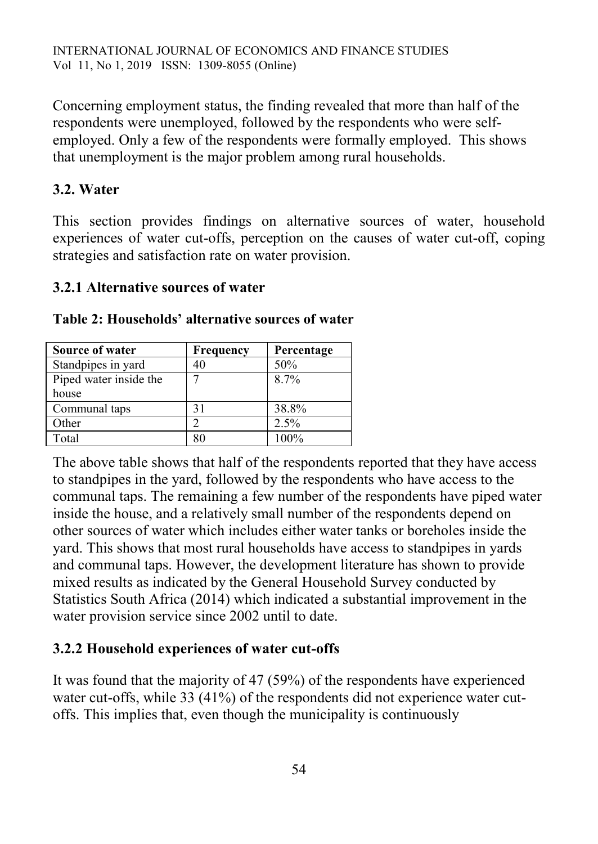Concerning employment status, the finding revealed that more than half of the respondents were unemployed, followed by the respondents who were selfemployed. Only a few of the respondents were formally employed. This shows that unemployment is the major problem among rural households.

## **3.2. Water**

This section provides findings on alternative sources of water, household experiences of water cut-offs, perception on the causes of water cut-off, coping strategies and satisfaction rate on water provision.

#### **3.2.1 Alternative sources of water**

| Source of water        | Frequency | Percentage |
|------------------------|-----------|------------|
| Standpipes in yard     |           | 50%        |
| Piped water inside the | ┑         | 8.7%       |
| house                  |           |            |
| Communal taps          | 31        | 38.8%      |
| Other                  |           | 2.5%       |
| Total                  |           | 100%       |

**Table 2: Households' alternative sources of water**

The above table shows that half of the respondents reported that they have access to standpipes in the yard, followed by the respondents who have access to the communal taps. The remaining a few number of the respondents have piped water inside the house, and a relatively small number of the respondents depend on other sources of water which includes either water tanks or boreholes inside the yard. This shows that most rural households have access to standpipes in yards and communal taps. However, the development literature has shown to provide mixed results as indicated by the General Household Survey conducted by Statistics South Africa (2014) which indicated a substantial improvement in the water provision service since 2002 until to date.

# **3.2.2 Household experiences of water cut-offs**

It was found that the majority of 47 (59%) of the respondents have experienced water cut-offs, while 33 (41%) of the respondents did not experience water cutoffs. This implies that, even though the municipality is continuously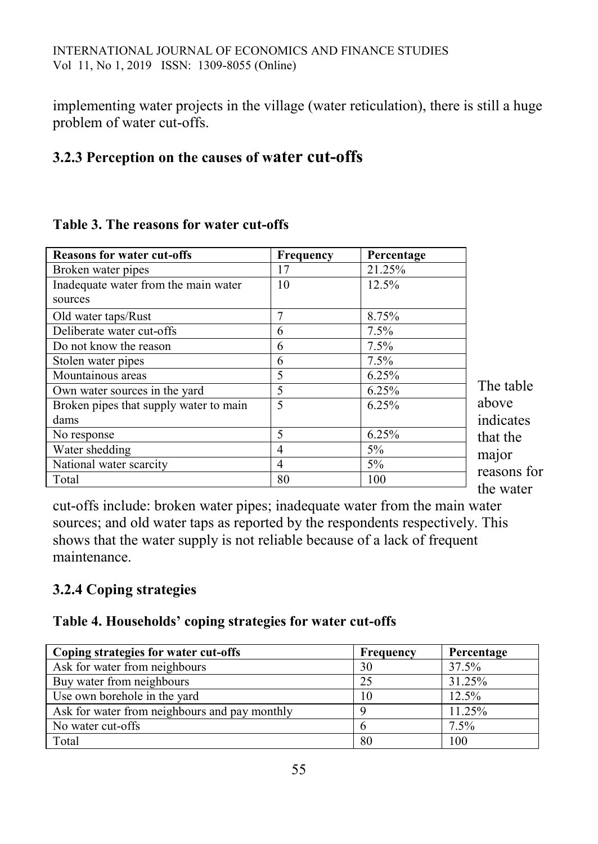implementing water projects in the village (water reticulation), there is still a huge problem of water cut-offs.

## **3.2.3 Perception on the causes of water cut-offs**

| <b>Reasons for water cut-offs</b>      | <b>Frequency</b> | Percentage |            |
|----------------------------------------|------------------|------------|------------|
| Broken water pipes                     | 17               | 21.25%     |            |
| Inadequate water from the main water   | 10               | 12.5%      |            |
| sources                                |                  |            |            |
| Old water taps/Rust                    |                  | 8.75%      |            |
| Deliberate water cut-offs              | 6                | $7.5\%$    |            |
| Do not know the reason                 | 6                | $7.5\%$    |            |
| Stolen water pipes                     | 6                | 7.5%       |            |
| Mountainous areas                      | 5                | 6.25%      |            |
| Own water sources in the yard          | 5                | 6.25%      | Tł         |
| Broken pipes that supply water to main | 5                | 6.25%      | ab         |
| dams                                   |                  |            | 111        |
| No response                            | 5                | 6.25%      | th:        |
| Water shedding                         | 4                | 5%         | m          |
| National water scarcity                | 4                | $5\%$      |            |
| Total                                  | 80               | 100        | rea<br>th، |

#### **Table 3. The reasons for water cut-offs**

he table ove dicates at the aior asons for the water

cut-offs include: broken water pipes; inadequate water from the main water sources; and old water taps as reported by the respondents respectively. This shows that the water supply is not reliable because of a lack of frequent maintenance.

# **3.2.4 Coping strategies**

#### **Table 4. Households' coping strategies for water cut-offs**

| Coping strategies for water cut-offs          | <b>Frequency</b> | Percentage |
|-----------------------------------------------|------------------|------------|
| Ask for water from neighbours                 | 30               | 37.5%      |
| Buy water from neighbours                     | 25               | 31.25%     |
| Use own borehole in the yard                  | 10               | 12.5%      |
| Ask for water from neighbours and pay monthly |                  | 11.25%     |
| No water cut-offs                             | n                | 7.5%       |
| Total                                         | 80               | 100        |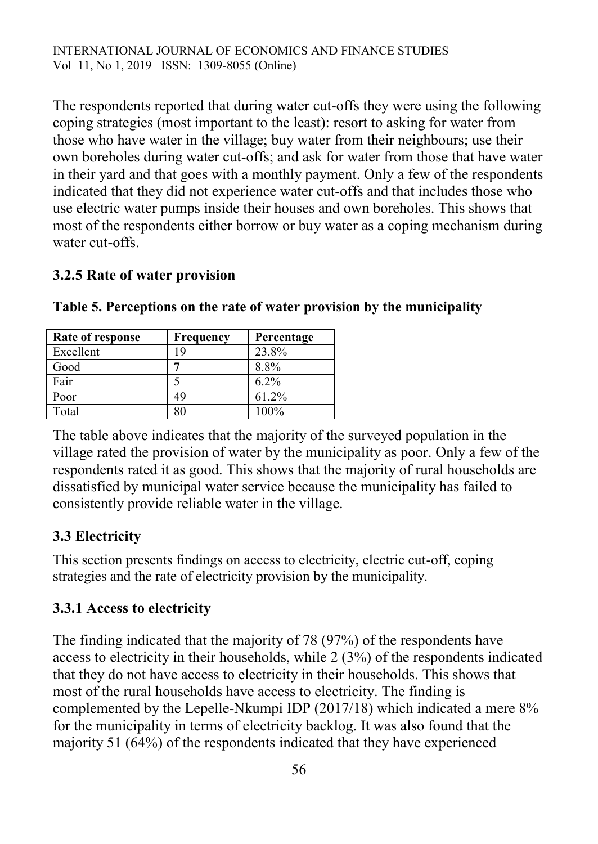INTERNATIONAL JOURNAL OF ECONOMICS AND FINANCE STUDIES Vol 11, No 1, 2019 ISSN: 1309-8055 (Online)

The respondents reported that during water cut-offs they were using the following coping strategies (most important to the least): resort to asking for water from those who have water in the village; buy water from their neighbours; use their own boreholes during water cut-offs; and ask for water from those that have water in their yard and that goes with a monthly payment. Only a few of the respondents indicated that they did not experience water cut-offs and that includes those who use electric water pumps inside their houses and own boreholes. This shows that most of the respondents either borrow or buy water as a coping mechanism during water cut-offs.

#### **3.2.5 Rate of water provision**

| Rate of response | Frequency | Percentage |
|------------------|-----------|------------|
| Excellent        | 19        | 23.8%      |
| Good             |           | 8.8%       |
| Fair             |           | $6.2\%$    |
| Poor             | 49        | 61.2%      |
| Total            |           | $100\%$    |

**Table 5. Perceptions on the rate of water provision by the municipality**

The table above indicates that the majority of the surveyed population in the village rated the provision of water by the municipality as poor. Only a few of the respondents rated it as good. This shows that the majority of rural households are dissatisfied by municipal water service because the municipality has failed to consistently provide reliable water in the village.

#### **3.3 Electricity**

This section presents findings on access to electricity, electric cut-off, coping strategies and the rate of electricity provision by the municipality.

#### **3.3.1 Access to electricity**

The finding indicated that the majority of 78 (97%) of the respondents have access to electricity in their households, while 2 (3%) of the respondents indicated that they do not have access to electricity in their households. This shows that most of the rural households have access to electricity. The finding is complemented by the Lepelle-Nkumpi IDP (2017/18) which indicated a mere 8% for the municipality in terms of electricity backlog. It was also found that the majority 51 (64%) of the respondents indicated that they have experienced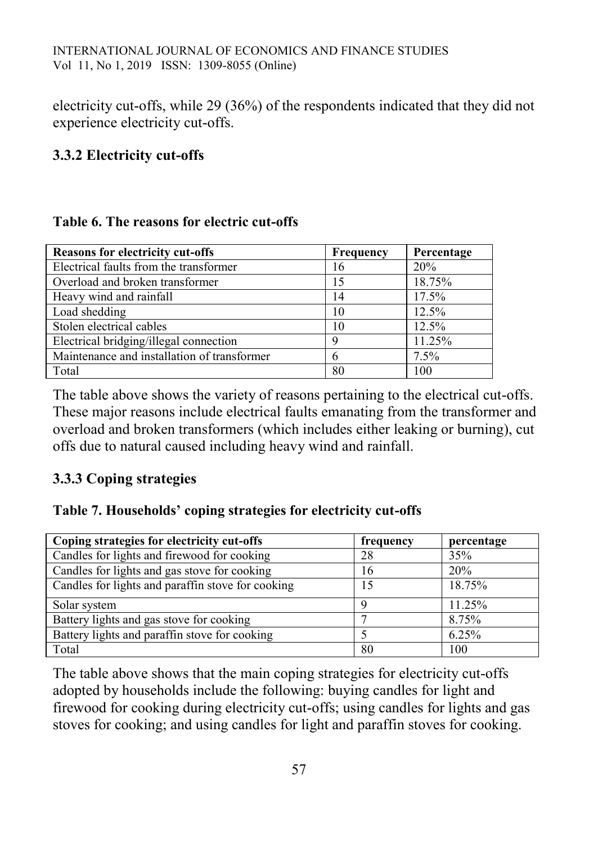electricity cut-offs, while 29 (36%) of the respondents indicated that they did not experience electricity cut-offs.

### **3.3.2 Electricity cut-offs**

#### **Table 6. The reasons for electric cut-offs**

| <b>Reasons for electricity cut-offs</b>     | Frequency | Percentage |
|---------------------------------------------|-----------|------------|
| Electrical faults from the transformer      | 16        | 20%        |
| Overload and broken transformer             | 15        | 18.75%     |
| Heavy wind and rainfall                     | 14        | 17.5%      |
| Load shedding                               | 10        | 12.5%      |
| Stolen electrical cables                    | 10        | 12.5%      |
| Electrical bridging/illegal connection      | q         | 11.25%     |
| Maintenance and installation of transformer | 6         | $7.5\%$    |
| Total                                       | 80        | 100        |

The table above shows the variety of reasons pertaining to the electrical cut-offs. These major reasons include electrical faults emanating from the transformer and overload and broken transformers (which includes either leaking or burning), cut offs due to natural caused including heavy wind and rainfall.

# **3.3.3 Coping strategies**

#### **Table 7. Households' coping strategies for electricity cut-offs**

| Coping strategies for electricity cut-offs        | frequency | percentage |
|---------------------------------------------------|-----------|------------|
| Candles for lights and firewood for cooking       | 28        | 35%        |
| Candles for lights and gas stove for cooking      | 16        | 20%        |
| Candles for lights and paraffin stove for cooking | 15        | 18.75%     |
| Solar system                                      | Q         | 11.25%     |
| Battery lights and gas stove for cooking          |           | 8.75%      |
| Battery lights and paraffin stove for cooking     |           | 6.25%      |
| Total                                             | 80        | 100        |

The table above shows that the main coping strategies for electricity cut-offs adopted by households include the following: buying candles for light and firewood for cooking during electricity cut-offs; using candles for lights and gas stoves for cooking; and using candles for light and paraffin stoves for cooking.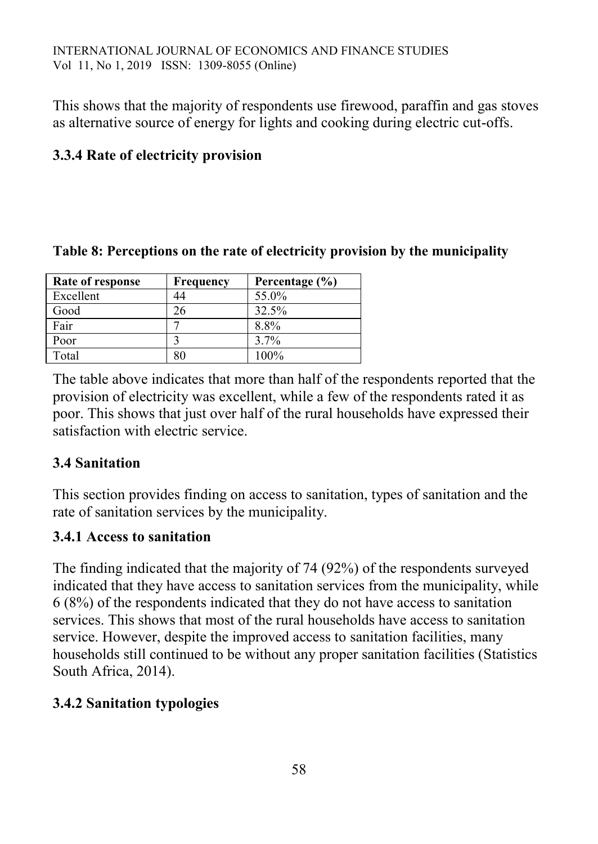This shows that the majority of respondents use firewood, paraffin and gas stoves as alternative source of energy for lights and cooking during electric cut-offs.

# **3.3.4 Rate of electricity provision**

| Rate of response | <b>Frequency</b> | Percentage $(\% )$ |
|------------------|------------------|--------------------|
| Excellent        | 44               | 55.0%              |
| Good             | 26               | 32.5%              |
| Fair             |                  | 8.8%               |
| Poor             |                  | $3.7\%$            |
| Total            |                  | $100\%$            |

#### **Table 8: Perceptions on the rate of electricity provision by the municipality**

The table above indicates that more than half of the respondents reported that the provision of electricity was excellent, while a few of the respondents rated it as poor. This shows that just over half of the rural households have expressed their satisfaction with electric service.

#### **3.4 Sanitation**

This section provides finding on access to sanitation, types of sanitation and the rate of sanitation services by the municipality.

### **3.4.1 Access to sanitation**

The finding indicated that the majority of 74 (92%) of the respondents surveyed indicated that they have access to sanitation services from the municipality, while 6 (8%) of the respondents indicated that they do not have access to sanitation services. This shows that most of the rural households have access to sanitation service. However, despite the improved access to sanitation facilities, many households still continued to be without any proper sanitation facilities (Statistics South Africa, 2014).

### **3.4.2 Sanitation typologies**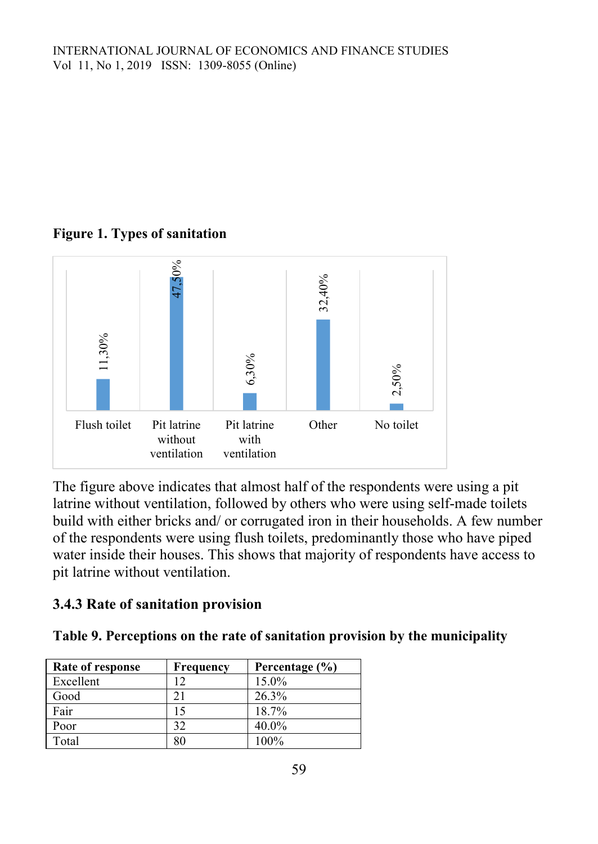## **Figure 1. Types of sanitation**



The figure above indicates that almost half of the respondents were using a pit latrine without ventilation, followed by others who were using self-made toilets build with either bricks and/ or corrugated iron in their households. A few number of the respondents were using flush toilets, predominantly those who have piped water inside their houses. This shows that majority of respondents have access to pit latrine without ventilation.

### **3.4.3 Rate of sanitation provision**

**Table 9. Perceptions on the rate of sanitation provision by the municipality**

| Rate of response | <b>Frequency</b> | Percentage (%) |
|------------------|------------------|----------------|
| Excellent        | 12               | 15.0%          |
| Good             | 21               | 26.3%          |
| Fair             | 15               | 18.7%          |
| Poor             | 32               | 40.0%          |
| Total            | 80               | 100%           |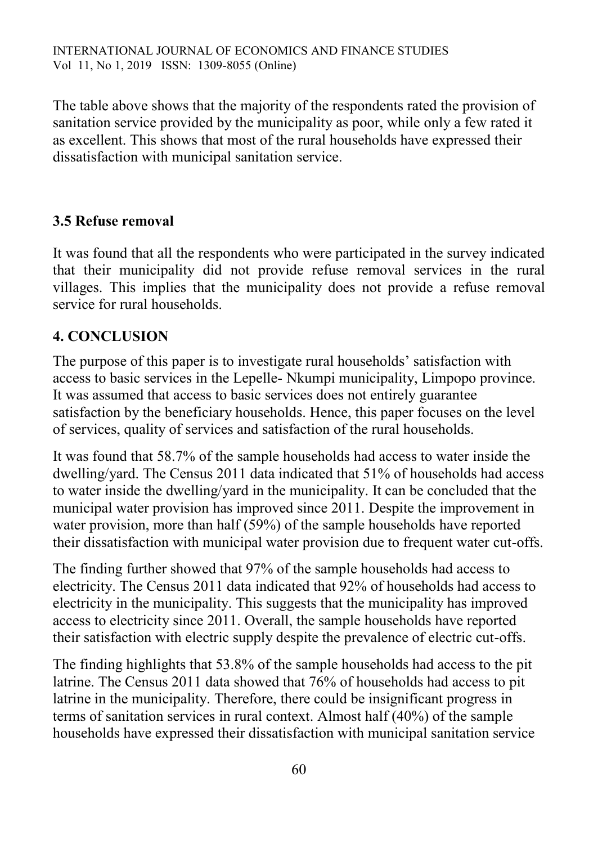The table above shows that the majority of the respondents rated the provision of sanitation service provided by the municipality as poor, while only a few rated it as excellent. This shows that most of the rural households have expressed their dissatisfaction with municipal sanitation service.

### **3.5 Refuse removal**

It was found that all the respondents who were participated in the survey indicated that their municipality did not provide refuse removal services in the rural villages. This implies that the municipality does not provide a refuse removal service for rural households.

### **4. CONCLUSION**

The purpose of this paper is to investigate rural households' satisfaction with access to basic services in the Lepelle- Nkumpi municipality, Limpopo province. It was assumed that access to basic services does not entirely guarantee satisfaction by the beneficiary households. Hence, this paper focuses on the level of services, quality of services and satisfaction of the rural households.

It was found that 58.7% of the sample households had access to water inside the dwelling/yard. The Census 2011 data indicated that 51% of households had access to water inside the dwelling/yard in the municipality. It can be concluded that the municipal water provision has improved since 2011. Despite the improvement in water provision, more than half (59%) of the sample households have reported their dissatisfaction with municipal water provision due to frequent water cut-offs.

The finding further showed that 97% of the sample households had access to electricity. The Census 2011 data indicated that 92% of households had access to electricity in the municipality. This suggests that the municipality has improved access to electricity since 2011. Overall, the sample households have reported their satisfaction with electric supply despite the prevalence of electric cut-offs.

The finding highlights that 53.8% of the sample households had access to the pit latrine. The Census 2011 data showed that 76% of households had access to pit latrine in the municipality. Therefore, there could be insignificant progress in terms of sanitation services in rural context. Almost half (40%) of the sample households have expressed their dissatisfaction with municipal sanitation service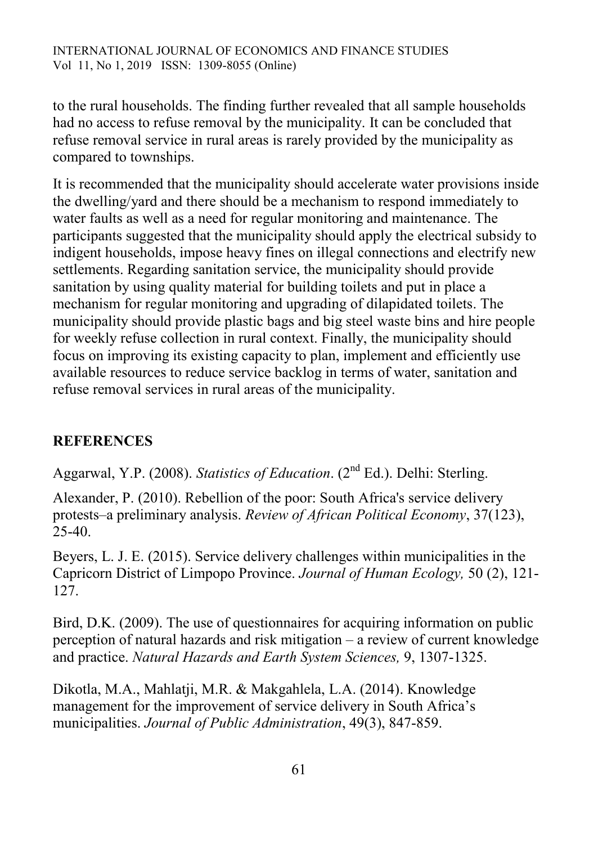to the rural households. The finding further revealed that all sample households had no access to refuse removal by the municipality. It can be concluded that refuse removal service in rural areas is rarely provided by the municipality as compared to townships.

It is recommended that the municipality should accelerate water provisions inside the dwelling/yard and there should be a mechanism to respond immediately to water faults as well as a need for regular monitoring and maintenance. The participants suggested that the municipality should apply the electrical subsidy to indigent households, impose heavy fines on illegal connections and electrify new settlements. Regarding sanitation service, the municipality should provide sanitation by using quality material for building toilets and put in place a mechanism for regular monitoring and upgrading of dilapidated toilets. The municipality should provide plastic bags and big steel waste bins and hire people for weekly refuse collection in rural context. Finally, the municipality should focus on improving its existing capacity to plan, implement and efficiently use available resources to reduce service backlog in terms of water, sanitation and refuse removal services in rural areas of the municipality.

### **REFERENCES**

Aggarwal, Y.P. (2008). *Statistics of Education*. (2<sup>nd</sup> Ed.). Delhi: Sterling.

Alexander, P. (2010). Rebellion of the poor: South Africa's service delivery protests–a preliminary analysis. *Review of African Political Economy*, 37(123), 25-40.

Beyers, L. J. E. (2015). Service delivery challenges within municipalities in the Capricorn District of Limpopo Province. *Journal of Human Ecology,* 50 (2), 121- 127.

Bird, D.K. (2009). The use of questionnaires for acquiring information on public perception of natural hazards and risk mitigation – a review of current knowledge and practice. *Natural Hazards and Earth System Sciences,* 9, 1307-1325.

Dikotla, M.A., Mahlatji, M.R. & Makgahlela, L.A. (2014). Knowledge management for the improvement of service delivery in South Africa's municipalities. *Journal of Public Administration*, 49(3), 847-859.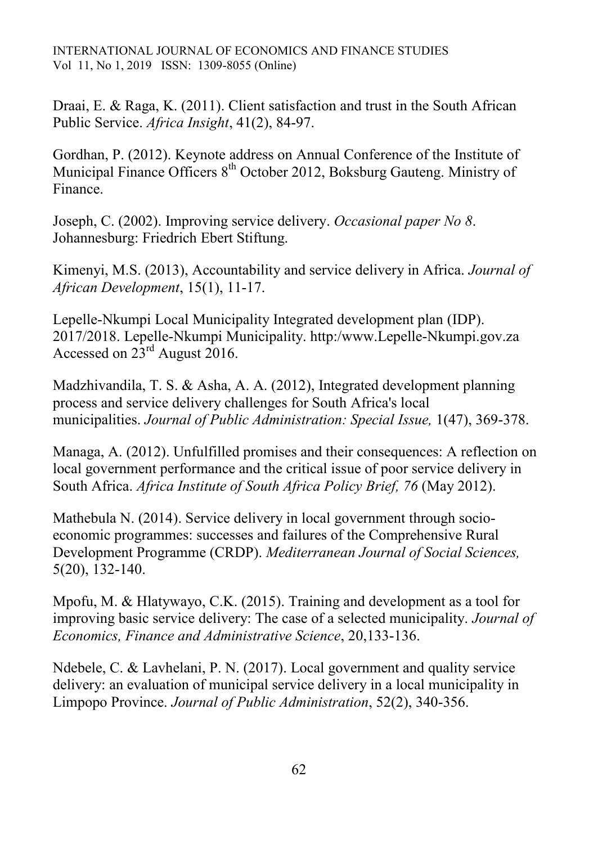INTERNATIONAL JOURNAL OF ECONOMICS AND FINANCE STUDIES Vol 11, No 1, 2019 ISSN: 1309-8055 (Online)

Draai, E. & Raga, K. (2011). Client satisfaction and trust in the South African Public Service. *Africa Insight*, 41(2), 84-97.

Gordhan, P. (2012). Keynote address on Annual Conference of the Institute of Municipal Finance Officers 8<sup>th</sup> October 2012, Boksburg Gauteng. Ministry of Finance.

Joseph, C. (2002). Improving service delivery. *Occasional paper No 8*. Johannesburg: Friedrich Ebert Stiftung.

Kimenyi, M.S. (2013), Accountability and service delivery in Africa. *Journal of African Development*, 15(1), 11-17.

Lepelle-Nkumpi Local Municipality Integrated development plan (IDP). 2017/2018. Lepelle-Nkumpi Municipality. http:/www.Lepelle-Nkumpi.gov.za Accessed on  $23^{\text{rd}}$  August 2016.

Madzhivandila, T. S. & Asha, A. A. (2012), Integrated development planning process and service delivery challenges for South Africa's local municipalities. *Journal of Public Administration: Special Issue,* 1(47), 369-378.

Managa, A. (2012). Unfulfilled promises and their consequences: A reflection on local government performance and the critical issue of poor service delivery in South Africa. *Africa Institute of South Africa Policy Brief, 76* (May 2012).

Mathebula N. (2014). Service delivery in local government through socioeconomic programmes: successes and failures of the Comprehensive Rural Development Programme (CRDP). *Mediterranean Journal of Social Sciences,*  5(20), 132-140.

Mpofu, M. & Hlatywayo, C.K. (2015). Training and development as a tool for improving basic service delivery: The case of a selected municipality. *Journal of Economics, Finance and Administrative Science*, 20,133-136.

Ndebele, C. & Lavhelani, P. N. (2017). Local government and quality service delivery: an evaluation of municipal service delivery in a local municipality in Limpopo Province. *Journal of Public Administration*, 52(2), 340-356.